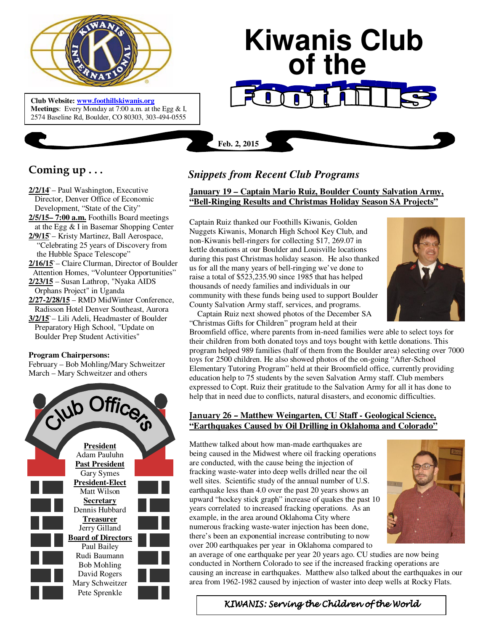

 **Meetings**: Every Monday at 7:00 a.m. at the Egg & I, **Club Website: www.foothillskiwanis.org** 2574 Baseline Rd, Boulder, CO 80303, 303-494-0555

# **Kiwanis Club of the**

**Feb. 2, 2015**

## **Coming up . . .**

**2/2/14**`– Paul Washington, Executive Director, Denver Office of Economic Development, "State of the City" **2/5/15– 7:00 a.m.** Foothills Board meetings at the Egg & I in Basemar Shopping Center **2/9/15**`– Kristy Martinez, Ball Aerospace, "Celebrating 25 years of Discovery from the Hubble Space Telescope" **2/16/15**`– Claire Clurman, Director of Boulder Attention Homes, "Volunteer Opportunities" **2/23/15** – Susan Lathrop, "Nyaka AIDS Orphans Project" in Uganda **2/27-2/28/15** – RMD MidWinter Conference, Radisson Hotel Denver Southeast, Aurora **3/2/15**`– Lili Adeli, Headmaster of Boulder

 Preparatory High School, "Update on Boulder Prep Student Activities"

#### **Program Chairpersons:**

February – Bob Mohling/Mary Schweitzer March – Mary Schweitzer and others



## *Snippets from Recent Club Programs*

**January 19 – Captain Mario Ruiz, Boulder County Salvation Army, "Bell-Ringing Results and Christmas Holiday Season SA Projects"**

Captain Ruiz thanked our Foothills Kiwanis, Golden Nuggets Kiwanis, Monarch High School Key Club, and non-Kiwanis bell-ringers for collecting \$17, 269.07 in kettle donations at our Boulder and Louisville locations during this past Christmas holiday season. He also thanked us for all the many years of bell-ringing we've done to raise a total of \$523,235.90 since 1985 that has helped thousands of needy families and individuals in our community with these funds being used to support Boulder County Salvation Army staff, services, and programs.



 Captain Ruiz next showed photos of the December SA "Christmas Gifts for Children" program held at their

Broomfield office, where parents from in-need families were able to select toys for their children from both donated toys and toys bought with kettle donations. This program helped 989 families (half of them from the Boulder area) selecting over 7000 toys for 2500 children. He also showed photos of the on-going "After-School Elementary Tutoring Program" held at their Broomfield office, currently providing education help to 75 students by the seven Salvation Army staff. Club members expressed to Copt. Ruiz their gratitude to the Salvation Army for all it has done to help that in need due to conflicts, natural disasters, and economic difficulties.

### **January 26 – Matthew Weingarten, CU Staff - Geological Science, "Earthquakes Caused by Oil Drilling in Oklahoma and Colorado"**

Matthew talked about how man-made earthquakes are being caused in the Midwest where oil fracking operations are conducted, with the cause being the injection of fracking waste-water into deep wells drilled near the oil well sites. Scientific study of the annual number of U.S. earthquake less than 4.0 over the past 20 years shows an upward "hockey stick graph" increase of quakes the past 10 years correlated to increased fracking operations. As an example, in the area around Oklahoma City where numerous fracking waste-water injection has been done, there's been an exponential increase contributing to now over 200 earthquakes per year in Oklahoma compared to



an average of one earthquake per year 20 years ago. CU studies are now being conducted in Northern Colorado to see if the increased fracking operations are causing an increase in earthquakes. Matthew also talked about the earthquakes in our area from 1962-1982 caused by injection of waster into deep wells at Rocky Flats.

KIWANIS: Serving the Children of the World